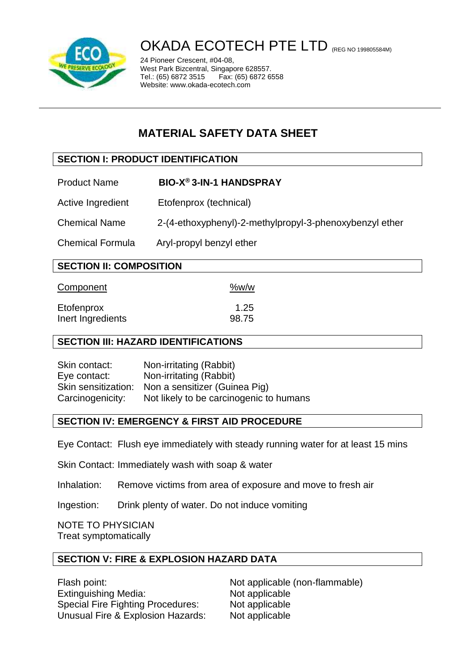

# OKADA ECOTECH PTE LTD (REG NO 199805584M)

24 Pioneer Crescent, #04-08, West Park Bizcentral, Singapore 628557.<br>Tel.: (65) 6872 3515 Fax: (65) 6872 6 Fax: (65) 6872 6558 Website: www.okada-ecotech.com

## **MATERIAL SAFETY DATA SHEET**

## **SECTION I: PRODUCT IDENTIFICATION**

- Product Name **BIO-X® 3-IN-1 HANDSPRAY**
- Active Ingredient Etofenprox (technical)

Chemical Name 2-(4-ethoxyphenyl)-2-methylpropyl-3-phenoxybenzyl ether

Chemical Formula Aryl-propyl benzyl ether

| <b>SECTION II: COMPOSITION</b>  |               |
|---------------------------------|---------------|
| Component                       | %w/w          |
| Etofenprox<br>Inert Ingredients | 1.25<br>98.75 |

## **SECTION III: HAZARD IDENTIFICATIONS**

Skin contact: Non-irritating (Rabbit) Eye contact: Non-irritating (Rabbit) Skin sensitization: Non a sensitizer (Guinea Pig) Carcinogenicity: Not likely to be carcinogenic to humans

## **SECTION IV: EMERGENCY & FIRST AID PROCEDURE**

Eye Contact: Flush eye immediately with steady running water for at least 15 mins

Skin Contact: Immediately wash with soap & water

Inhalation: Remove victims from area of exposure and move to fresh air

Ingestion: Drink plenty of water. Do not induce vomiting

NOTE TO PHYSICIAN Treat symptomatically

## **SECTION V: FIRE & EXPLOSION HAZARD DATA**

Flash point: Not applicable (non-flammable) Extinguishing Media: Not applicable Special Fire Fighting Procedures: Not applicable Unusual Fire & Explosion Hazards: Not applicable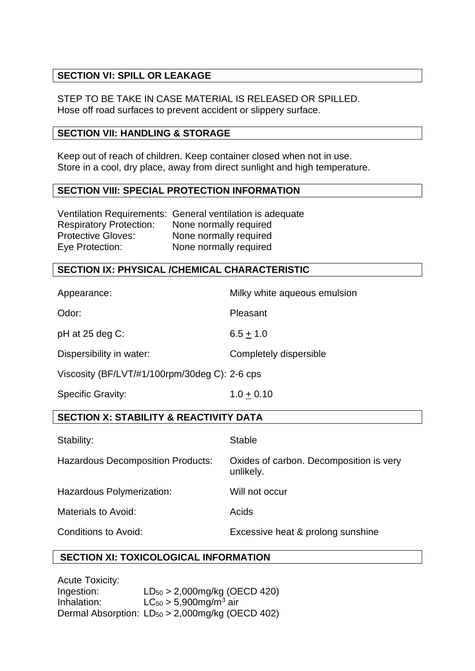## **SECTION VI: SPILL OR LEAKAGE**

STEP TO BE TAKE IN CASE MATERIAL IS RELEASED OR SPILLED. Hose off road surfaces to prevent accident or slippery surface.

#### **SECTION VII: HANDLING & STORAGE**

Keep out of reach of children. Keep container closed when not in use. Store in a cool, dry place, away from direct sunlight and high temperature.

#### **SECTION VIII: SPECIAL PROTECTION INFORMATION**

|                                | Ventilation Requirements: General ventilation is adequate |
|--------------------------------|-----------------------------------------------------------|
| <b>Respiratory Protection:</b> | None normally required                                    |
| <b>Protective Gloves:</b>      | None normally required                                    |
| Eye Protection:                | None normally required                                    |

## **SECTION IX: PHYSICAL /CHEMICAL CHARACTERISTIC**

| Appearance:                                       | Milky white aqueous emulsion                         |  |
|---------------------------------------------------|------------------------------------------------------|--|
| Odor:                                             | Pleasant                                             |  |
| pH at 25 deg C:                                   | $6.5 + 1.0$                                          |  |
| Dispersibility in water:                          | Completely dispersible                               |  |
| Viscosity (BF/LVT/#1/100rpm/30deg C): 2-6 cps     |                                                      |  |
| <b>Specific Gravity:</b>                          | $1.0 + 0.10$                                         |  |
| <b>SECTION X: STABILITY &amp; REACTIVITY DATA</b> |                                                      |  |
| Stability:                                        | <b>Stable</b>                                        |  |
| <b>Hazardous Decomposition Products:</b>          | Oxides of carbon. Decomposition is very<br>unlikely. |  |
| Hazardous Polymerization:                         | Will not occur                                       |  |
| <b>Materials to Avoid:</b>                        | Acids                                                |  |
| <b>Conditions to Avoid:</b>                       | Excessive heat & prolong sunshine                    |  |

## **SECTION XI: TOXICOLOGICAL INFORMATION**

Acute Toxicity: Ingestion:  $LD_{50} > 2,000$  mg/kg (OECD 420) Inhalation:  $LC_{50} > 5,900$ mg/m<sup>3</sup> air Dermal Absorption: LD<sub>50</sub> > 2,000mg/kg (OECD 402)